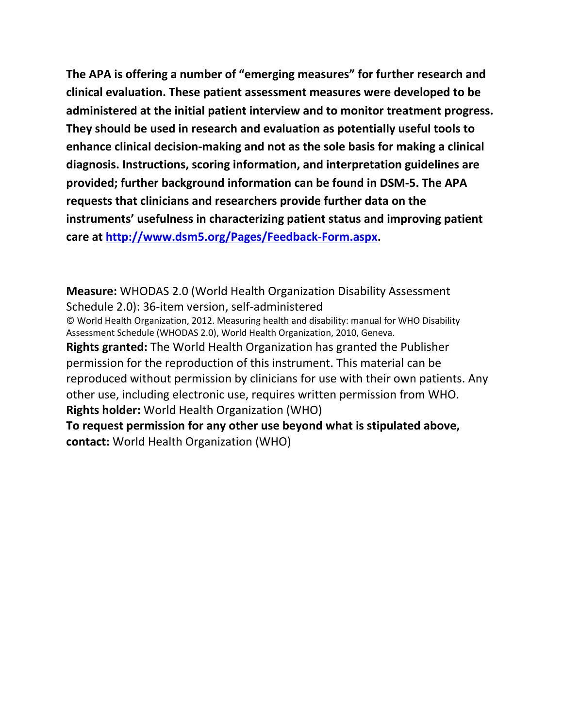**The APA is offering a number of "emerging measures" for further research and clinical evaluation. These patient assessment measures were developed to be administered at the initial patient interview and to monitor treatment progress. They should be used in research and evaluation as potentially useful tools to enhance clinical decision-making and not as the sole basis for making a clinical diagnosis. Instructions, scoring information, and interpretation guidelines are provided; further background information can be found in DSM-5. The APA requests that clinicians and researchers provide further data on the instruments' usefulness in characterizing patient status and improving patient care at [http://www.dsm5.org/Pages/Feedback-Form.aspx.](http://www.dsm5.org/Pages/Feedback-Form.aspx)**

**Measure:** WHODAS 2.0 (World Health Organization Disability Assessment Schedule 2.0): 36-item version, self-administered © World Health Organization, 2012. Measuring health and disability: manual for WHO Disability Assessment Schedule (WHODAS 2.0), World Health Organization, 2010, Geneva. **Rights granted:** The World Health Organization has granted the Publisher permission for the reproduction of this instrument. This material can be reproduced without permission by clinicians for use with their own patients. Any other use, including electronic use, requires written permission from WHO. **Rights holder:** World Health Organization (WHO) **To request permission for any other use beyond what is stipulated above, contact:** World Health Organization (WHO)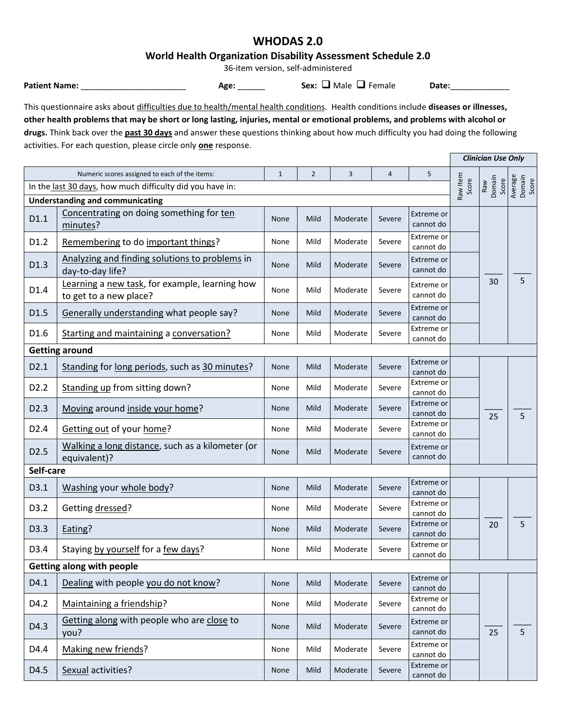## **WHODAS 2.0**

#### **World Health Organization Disability Assessment Schedule 2.0**

36-item version, self-administered

**Patient Name:** \_\_\_\_\_\_\_\_\_\_\_\_\_\_\_\_\_\_\_\_\_\_\_\_\_\_\_ Age: \_\_\_\_\_\_\_ Sex: □ Male □ Female Date: \_\_\_\_\_\_\_\_\_\_\_\_\_

 $\blacksquare$ 

This questionnaire asks about difficulties due to health/mental health conditions. Health conditions include **diseases or illnesses, other health problems that may be short or long lasting, injuries, mental or emotional problems, and problems with alcohol or drugs.** Think back over the **past 30 days** and answer these questions thinking about how much difficulty you had doing the following activities. For each question, please circle only **one** response.

|                                                           |                                                                          |              |                |          |        |                         | <b>Clinician Use Only</b> |                        |                            |
|-----------------------------------------------------------|--------------------------------------------------------------------------|--------------|----------------|----------|--------|-------------------------|---------------------------|------------------------|----------------------------|
|                                                           | Numeric scores assigned to each of the items:                            | $\mathbf{1}$ | $\overline{2}$ | 3        | 4      | 5                       |                           |                        |                            |
| In the last 30 days, how much difficulty did you have in: |                                                                          |              |                |          |        |                         | Raw Item<br>Score         | Raw<br>Domain<br>Score | Average<br>Domain<br>Score |
| <b>Understanding and communicating</b>                    |                                                                          |              |                |          |        |                         |                           |                        |                            |
| D1.1                                                      | Concentrating on doing something for ten                                 | None         | Mild           | Moderate | Severe | Extreme or              |                           |                        |                            |
|                                                           | minutes?                                                                 |              |                |          |        | cannot do               |                           |                        |                            |
| D1.2                                                      | Remembering to do important things?                                      | None         | Mild           | Moderate | Severe | Extreme or<br>cannot do |                           |                        |                            |
| D1.3                                                      | Analyzing and finding solutions to problems in<br>day-to-day life?       | None         | Mild           | Moderate | Severe | Extreme or<br>cannot do |                           |                        |                            |
| D1.4                                                      | Learning a new task, for example, learning how<br>to get to a new place? | None         | Mild           | Moderate | Severe | Extreme or<br>cannot do |                           | 30                     | 5                          |
| D1.5                                                      | Generally understanding what people say?                                 | None         | Mild           | Moderate | Severe | Extreme or<br>cannot do |                           |                        |                            |
| D1.6                                                      | Starting and maintaining a conversation?                                 | None         | Mild           | Moderate | Severe | Extreme or<br>cannot do |                           |                        |                            |
|                                                           | <b>Getting around</b>                                                    |              |                |          |        |                         |                           |                        |                            |
| D2.1                                                      | Standing for long periods, such as 30 minutes?                           | None         | Mild           | Moderate | Severe | Extreme or<br>cannot do |                           |                        |                            |
| D <sub>2.2</sub>                                          | Standing up from sitting down?                                           | None         | Mild           | Moderate | Severe | Extreme or<br>cannot do |                           |                        |                            |
| D2.3                                                      | Moving around inside your home?                                          | None         | Mild           | Moderate | Severe | Extreme or<br>cannot do |                           | 25                     | 5                          |
| D <sub>2.4</sub>                                          | Getting out of your home?                                                | None         | Mild           | Moderate | Severe | Extreme or<br>cannot do |                           |                        |                            |
| D <sub>2.5</sub>                                          | Walking a long distance, such as a kilometer (or<br>equivalent)?         | None         | Mild           | Moderate | Severe | Extreme or<br>cannot do |                           |                        |                            |
| Self-care                                                 |                                                                          |              |                |          |        |                         |                           |                        |                            |
| D3.1                                                      | Washing your whole body?                                                 | None         | Mild           | Moderate | Severe | Extreme or<br>cannot do |                           |                        |                            |
| D3.2                                                      | Getting dressed?                                                         | None         | Mild           | Moderate | Severe | Extreme or<br>cannot do |                           |                        |                            |
| D3.3                                                      | Eating?                                                                  | None         | Mild           | Moderate | Severe | Extreme or<br>cannot do |                           | 20                     | 5                          |
| D3.4                                                      | Staying by yourself for a few days?                                      | None         | Mild           | Moderate | Severe | Extreme or<br>cannot do |                           |                        |                            |
| <b>Getting along with people</b>                          |                                                                          |              |                |          |        |                         |                           |                        |                            |
| D4.1                                                      | Dealing with people you do not know?                                     | None         | Mild           | Moderate | Severe | Extreme or<br>cannot do |                           |                        |                            |
| D4.2                                                      | Maintaining a friendship?                                                | None         | Mild           | Moderate | Severe | Extreme or<br>cannot do |                           |                        |                            |
| D4.3                                                      | Getting along with people who are close to<br>you?                       | None         | Mild           | Moderate | Severe | Extreme or<br>cannot do |                           | 25                     | 5                          |
| D4.4                                                      | Making new friends?                                                      | None         | Mild           | Moderate | Severe | Extreme or<br>cannot do |                           |                        |                            |
| D4.5                                                      | Sexual activities?                                                       | None         | Mild           | Moderate | Severe | Extreme or<br>cannot do |                           |                        |                            |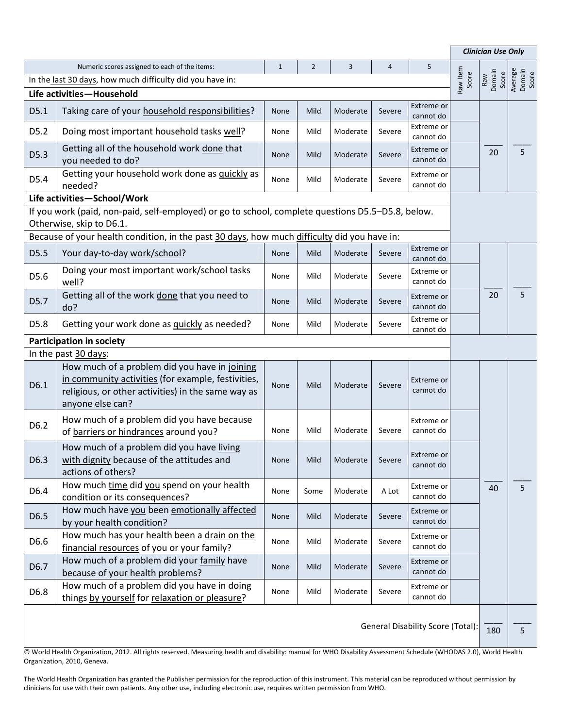|                                                                                                                               |                                                                                                                                                                               |              |                |          |                |                         | <b>Clinician Use Only</b> |                            |                |
|-------------------------------------------------------------------------------------------------------------------------------|-------------------------------------------------------------------------------------------------------------------------------------------------------------------------------|--------------|----------------|----------|----------------|-------------------------|---------------------------|----------------------------|----------------|
|                                                                                                                               | Numeric scores assigned to each of the items:                                                                                                                                 | $\mathbf{1}$ | $\overline{2}$ | 3        | $\overline{4}$ | 5                       |                           |                            |                |
| In the last 30 days, how much difficulty did you have in:                                                                     |                                                                                                                                                                               |              |                |          |                | Raw Item<br>Score       | Raw<br>Domain<br>Score    | Average<br>Domain<br>Score |                |
| Life activities-Household                                                                                                     |                                                                                                                                                                               |              |                |          |                |                         |                           |                            |                |
| D5.1                                                                                                                          | Taking care of your household responsibilities?                                                                                                                               | None         | Mild           | Moderate | Severe         | Extreme or              |                           |                            |                |
|                                                                                                                               |                                                                                                                                                                               |              |                |          |                | cannot do<br>Extreme or |                           |                            |                |
| D5.2                                                                                                                          | Doing most important household tasks well?                                                                                                                                    | None         | Mild           | Moderate | Severe         | cannot do               |                           |                            |                |
| D5.3                                                                                                                          | Getting all of the household work done that<br>you needed to do?                                                                                                              | None         | Mild           | Moderate | Severe         | Extreme or<br>cannot do |                           | 20                         | 5              |
| D5.4                                                                                                                          | Getting your household work done as quickly as<br>needed?                                                                                                                     | None         | Mild           | Moderate | Severe         | Extreme or<br>cannot do |                           |                            |                |
|                                                                                                                               | Life activities-School/Work                                                                                                                                                   |              |                |          |                |                         |                           |                            |                |
| If you work (paid, non-paid, self-employed) or go to school, complete questions D5.5-D5.8, below.<br>Otherwise, skip to D6.1. |                                                                                                                                                                               |              |                |          |                |                         |                           |                            |                |
|                                                                                                                               | Because of your health condition, in the past 30 days, how much difficulty did you have in:                                                                                   |              |                |          |                |                         |                           |                            |                |
| D5.5                                                                                                                          | Your day-to-day work/school?                                                                                                                                                  | None         | Mild           | Moderate | Severe         | Extreme or<br>cannot do |                           |                            |                |
| D5.6                                                                                                                          | Doing your most important work/school tasks<br>well?                                                                                                                          | None         | Mild           | Moderate | Severe         | Extreme or<br>cannot do |                           |                            |                |
| D5.7                                                                                                                          | Getting all of the work done that you need to<br>do?                                                                                                                          | None         | Mild           | Moderate | Severe         | Extreme or<br>cannot do |                           | 20                         | 5              |
| D5.8                                                                                                                          | Getting your work done as quickly as needed?                                                                                                                                  | None         | Mild           | Moderate | Severe         | Extreme or<br>cannot do |                           |                            |                |
| <b>Participation in society</b>                                                                                               |                                                                                                                                                                               |              |                |          |                |                         |                           |                            |                |
| In the past 30 days:                                                                                                          |                                                                                                                                                                               |              |                |          |                |                         |                           |                            |                |
| D6.1                                                                                                                          | How much of a problem did you have in joining<br>in community activities (for example, festivities,<br>religious, or other activities) in the same way as<br>anyone else can? | None         | Mild           | Moderate | Severe         | Extreme or<br>cannot do |                           |                            |                |
| D6.2                                                                                                                          | How much of a problem did you have because<br>of barriers or hindrances around you?                                                                                           | None         | Mild           | Moderate | Severe         | Extreme or<br>cannot do |                           |                            |                |
| D6.3                                                                                                                          | How much of a problem did you have living<br>with dignity because of the attitudes and<br>actions of others?                                                                  | None         | Mild           | Moderate | Severe         | Extreme or<br>cannot do |                           |                            |                |
| D6.4                                                                                                                          | How much time did you spend on your health<br>condition or its consequences?                                                                                                  | None         | Some           | Moderate | A Lot          | Extreme or<br>cannot do |                           | 40                         | 5 <sup>5</sup> |
| D6.5                                                                                                                          | How much have you been emotionally affected<br>by your health condition?                                                                                                      | None         | Mild           | Moderate | Severe         | Extreme or<br>cannot do |                           |                            |                |
| D6.6                                                                                                                          | How much has your health been a drain on the<br>financial resources of you or your family?                                                                                    | None         | Mild           | Moderate | Severe         | Extreme or<br>cannot do |                           |                            |                |
| D6.7                                                                                                                          | How much of a problem did your family have<br>because of your health problems?                                                                                                | None         | Mild           | Moderate | Severe         | Extreme or<br>cannot do |                           |                            |                |
| D6.8                                                                                                                          | How much of a problem did you have in doing<br>things by yourself for relaxation or pleasure?                                                                                 | None         | Mild           | Moderate | Severe         | Extreme or<br>cannot do |                           |                            |                |
|                                                                                                                               |                                                                                                                                                                               |              |                |          |                |                         |                           |                            |                |

General Disability Score (Total): 180

© World Health Organization, 2012. All rights reserved. Measuring health and disability: manual for WHO Disability Assessment Schedule (WHODAS 2.0), World Health Organization, 2010, Geneva.

The World Health Organization has granted the Publisher permission for the reproduction of this instrument. This material can be reproduced without permission by clinicians for use with their own patients. Any other use, including electronic use, requires written permission from WHO.

<sup>5</sup>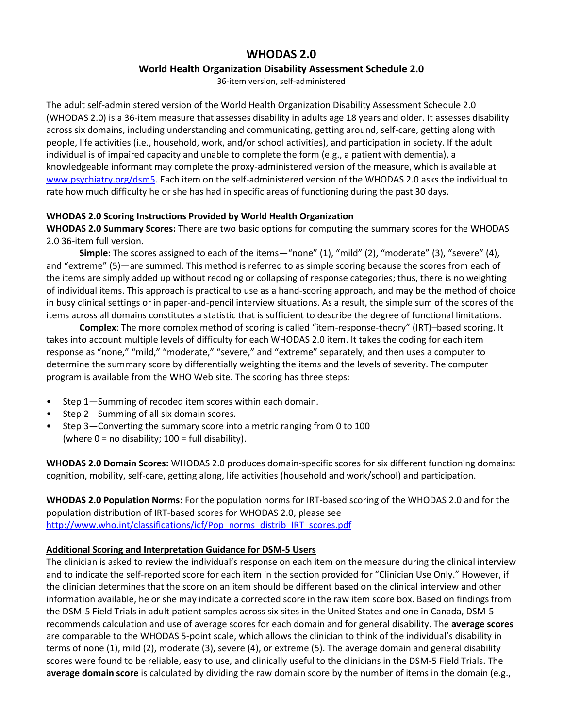# **WHODAS 2.0**

#### **World Health Organization Disability Assessment Schedule 2.0**

36-item version, self-administered

The adult self-administered version of the World Health Organization Disability Assessment Schedule 2.0 (WHODAS 2.0) is a 36-item measure that assesses disability in adults age 18 years and older. It assesses disability across six domains, including understanding and communicating, getting around, self-care, getting along with people, life activities (i.e., household, work, and/or school activities), and participation in society. If the adult individual is of impaired capacity and unable to complete the form (e.g., a patient with dementia), a knowledgeable informant may complete the proxy-administered version of the measure, which is available at [www.psychiatry.org/dsm5.](http://www.psychiatry.org/dsm5) Each item on the self-administered version of the WHODAS 2.0 asks the individual to rate how much difficulty he or she has had in specific areas of functioning during the past 30 days.

#### **WHODAS 2.0 Scoring Instructions Provided by World Health Organization**

**WHODAS 2.0 Summary Scores:** There are two basic options for computing the summary scores for the WHODAS 2.0 36-item full version.

**Simple**: The scores assigned to each of the items—"none" (1), "mild" (2), "moderate" (3), "severe" (4), and "extreme" (5)—are summed. This method is referred to as simple scoring because the scores from each of the items are simply added up without recoding or collapsing of response categories; thus, there is no weighting of individual items. This approach is practical to use as a hand-scoring approach, and may be the method of choice in busy clinical settings or in paper-and-pencil interview situations. As a result, the simple sum of the scores of the items across all domains constitutes a statistic that is sufficient to describe the degree of functional limitations.

**Complex**: The more complex method of scoring is called "item-response-theory" (IRT)–based scoring. It takes into account multiple levels of difficulty for each WHODAS 2.0 item. It takes the coding for each item response as "none," "mild," "moderate," "severe," and "extreme" separately, and then uses a computer to determine the summary score by differentially weighting the items and the levels of severity. The computer program is available from the WHO Web site. The scoring has three steps:

- Step 1—Summing of recoded item scores within each domain.
- Step 2—Summing of all six domain scores.
- Step 3—Converting the summary score into a metric ranging from 0 to 100 (where  $0 = no$  disability;  $100 = full$  disability).

**WHODAS 2.0 Domain Scores:** WHODAS 2.0 produces domain-specific scores for six different functioning domains: cognition, mobility, self-care, getting along, life activities (household and work/school) and participation.

**WHODAS 2.0 Population Norms:** For the population norms for IRT-based scoring of the WHODAS 2.0 and for the population distribution of IRT-based scores for WHODAS 2.0, please see [http://www.who.int/classifications/icf/Pop\\_norms\\_distrib\\_IRT\\_scores.pdf](http://www.who.int/classifications/icf/Pop_norms_distrib_IRT_scores.pdf)

### **Additional Scoring and Interpretation Guidance for DSM-5 Users**

The clinician is asked to review the individual's response on each item on the measure during the clinical interview and to indicate the self-reported score for each item in the section provided for "Clinician Use Only." However, if the clinician determines that the score on an item should be different based on the clinical interview and other information available, he or she may indicate a corrected score in the raw item score box. Based on findings from the DSM-5 Field Trials in adult patient samples across six sites in the United States and one in Canada, DSM-5 recommends calculation and use of average scores for each domain and for general disability. The **average scores** are comparable to the WHODAS 5-point scale, which allows the clinician to think of the individual's disability in terms of none (1), mild (2), moderate (3), severe (4), or extreme (5). The average domain and general disability scores were found to be reliable, easy to use, and clinically useful to the clinicians in the DSM-5 Field Trials. The **average domain score** is calculated by dividing the raw domain score by the number of items in the domain (e.g.,